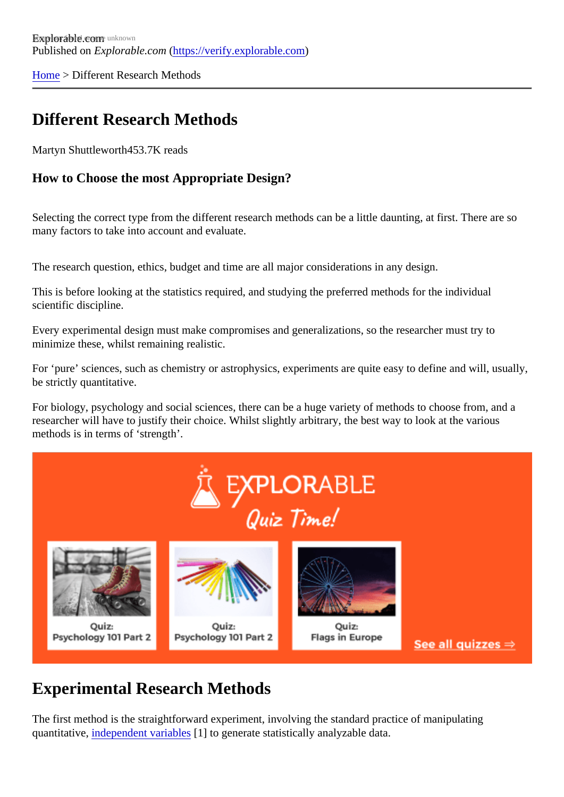[Home](https://verify.explorable.com/)> Different Research Methods

# Different Research Methods

Martyn Shuttlewort<sup>453.7K</sup> reads

How to Choose the most Appropriate Design?

Selecting the correct type from the different research methods can be a little daunting, at first. There are so many factors to take into account and evaluate.

The research question, ethics, budget and time are all major considerations in any design.

This is before looking at the statistics required, and studying the preferred methods for the individual scientific discipline.

Every experimental design must make compromises and generalizations, so the researcher must try to minimize these, whilst remaining realistic.

For 'pure' sciences, such as chemistry or astrophysics, experiments are quite easy to define and will, usually be strictly quantitative.

For biology, psychology and social sciences, there can be a huge variety of methods to choose from, and researcher will have to justify their choice. Whilst slightly arbitrary, the best way to look at the various methods is in terms of 'strength'.

# Experimental Research Methods

The first method is the straightforward experiment, involving the standard practice of manipulating quantitative[, independent variable](https://verify.explorable.com/independent-variable)s] to generate statistically analyzable data.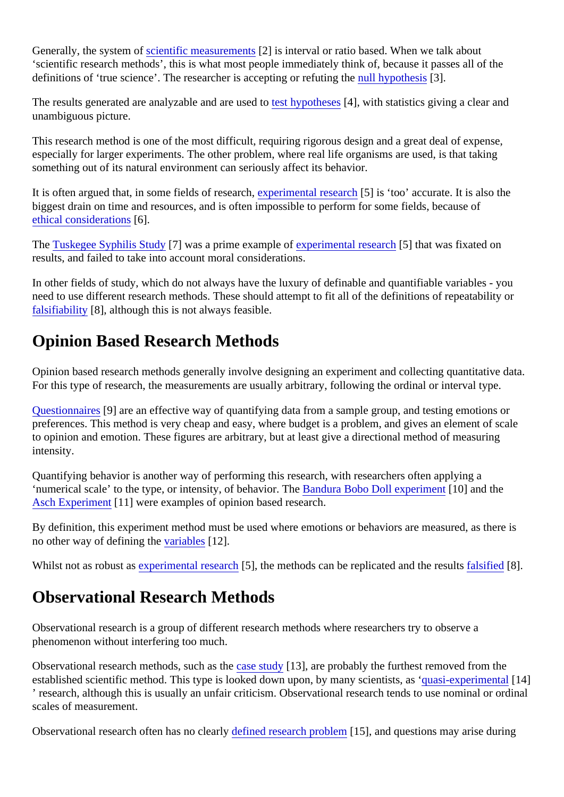Generally, the system *eccentific measuremen*ted is interval or ratio based. When we talk about 'scientific research methods', this is what most people immediately think of, because it passes all of the definitions of 'true science'. The researcher is accepting or refuting the upothesis<sup>[3]</sup>.

The results generated are analyzable and are usest to potheses [4], with statistics giving a clear and unambiguous picture.

This research method is one of the most difficult, requiring rigorous design and a great deal of expense, especially for larger experiments. The other problem, where real life organisms are used, is that taking something out of its natural environment can seriously affect its behavior.

It is often argued that, in some fields of research perimental research is 'too' accurate. It is also the biggest drain on time and resources, and is often impossible to perform for some fields, because of [ethical consideration](https://verify.explorable.com/ethics-in-research)<sup>6</sup>].

The [Tuskegee Syphilis Stud](https://verify.explorable.com/tuskegee-syphilis-study)y] was a prime example *elisperimental researd*<sup>5</sup>] that was fixated on results, and failed to take into account moral considerations.

In other fields of study, which do not always have the luxury of definable and quantifiable variables - you need to use different research methods. These should attempt to fit all of the definitions of repeatability or [falsifiability](https://verify.explorable.com/falsifiability) [8], although this is not always feasible.

## Opinion Based Research Methods

Opinion based research methods generally involve designing an experiment and collecting quantitative data. For this type of research, the measurements are usually arbitrary, following the ordinal or interval type.

[Questionnaire](https://verify.explorable.com/survey-research-design) $[9]$  are an effective way of quantifying data from a sample group, and testing emotions or preferences. This method is very cheap and easy, where budget is a problem, and gives an element of scale to opinion and emotion. These figures are arbitrary, but at least give a directional method of measuring intensity.

Quantifying behavior is another way of performing this research, with researchers often applying a 'numerical scale' to the type, or intensity, of behavior. **Ebandura Bobo Doll experiment 0** and the [Asch Experimen](https://verify.explorable.com/asch-experiment)t<sup>11</sup> were examples of opinion based research.

By definition, this experiment method must be used where emotions or behaviors are measured, as there no other way of defining the ariables [12].

Whilst not as robust as operimental research, the methods can be replicated and the resultistied [8].

#### Observational Research Methods

Observational research is a group of different research methods where researchers try to observe a phenomenon without interfering too much.

Observational research methods, such as a study  $\frac{3}{1}$ , are probably the furthest removed from the established scientific method. This type is looked down upon, by many scientists, as ' xperimental ' research, although this is usually an unfair criticism. Observational research tends to use nominal or ordin scales of measurement.

Observational research often has no clearly ned research problements], and questions may arise during